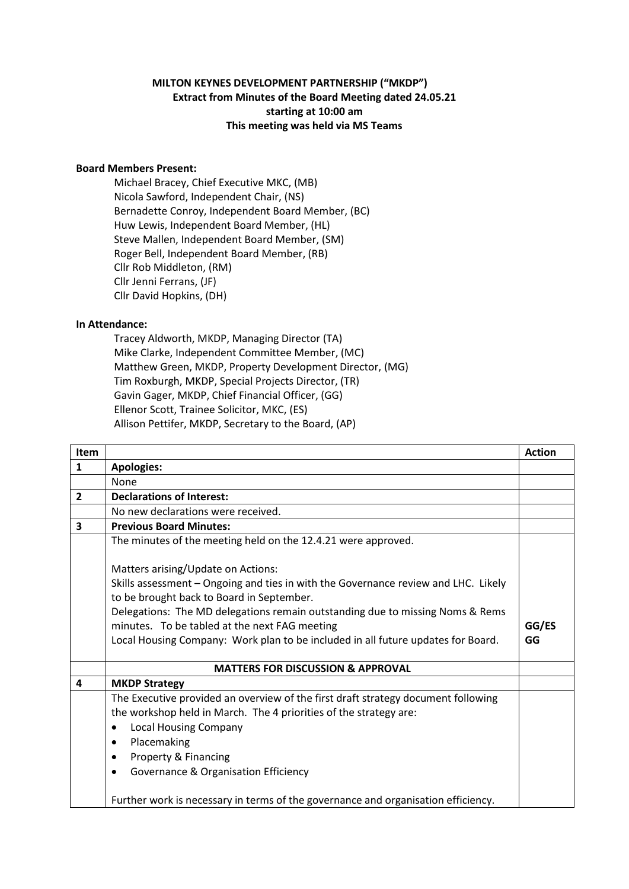## **MILTON KEYNES DEVELOPMENT PARTNERSHIP ("MKDP") Extract from Minutes of the Board Meeting dated 24.05.21 starting at 10:00 am This meeting was held via MS Teams**

## **Board Members Present:**

Michael Bracey, Chief Executive MKC, (MB) Nicola Sawford, Independent Chair, (NS) Bernadette Conroy, Independent Board Member, (BC) Huw Lewis, Independent Board Member, (HL) Steve Mallen, Independent Board Member, (SM) Roger Bell, Independent Board Member, (RB) Cllr Rob Middleton, (RM) Cllr Jenni Ferrans, (JF) Cllr David Hopkins, (DH)

## **In Attendance:**

Tracey Aldworth, MKDP, Managing Director (TA) Mike Clarke, Independent Committee Member, (MC) Matthew Green, MKDP, Property Development Director, (MG) Tim Roxburgh, MKDP, Special Projects Director, (TR) Gavin Gager, MKDP, Chief Financial Officer, (GG) Ellenor Scott, Trainee Solicitor, MKC, (ES) Allison Pettifer, MKDP, Secretary to the Board, (AP)

| <b>Item</b>    |                                                                                                                                 | <b>Action</b> |
|----------------|---------------------------------------------------------------------------------------------------------------------------------|---------------|
| $\mathbf{1}$   | <b>Apologies:</b>                                                                                                               |               |
|                | None                                                                                                                            |               |
| $\overline{2}$ | <b>Declarations of Interest:</b>                                                                                                |               |
|                | No new declarations were received.                                                                                              |               |
| 3              | <b>Previous Board Minutes:</b>                                                                                                  |               |
|                | The minutes of the meeting held on the 12.4.21 were approved.                                                                   |               |
|                | Matters arising/Update on Actions:                                                                                              |               |
|                | Skills assessment - Ongoing and ties in with the Governance review and LHC. Likely<br>to be brought back to Board in September. |               |
|                | Delegations: The MD delegations remain outstanding due to missing Noms & Rems                                                   |               |
|                | minutes. To be tabled at the next FAG meeting                                                                                   | GG/ES<br>GG   |
|                | Local Housing Company: Work plan to be included in all future updates for Board.                                                |               |
|                | <b>MATTERS FOR DISCUSSION &amp; APPROVAL</b>                                                                                    |               |
| 4              | <b>MKDP Strategy</b>                                                                                                            |               |
|                | The Executive provided an overview of the first draft strategy document following                                               |               |
|                | the workshop held in March. The 4 priorities of the strategy are:                                                               |               |
|                | <b>Local Housing Company</b><br>$\bullet$                                                                                       |               |
|                | Placemaking<br>$\bullet$                                                                                                        |               |
|                | Property & Financing<br>$\bullet$                                                                                               |               |
|                | Governance & Organisation Efficiency<br>$\bullet$                                                                               |               |
|                | Further work is necessary in terms of the governance and organisation efficiency.                                               |               |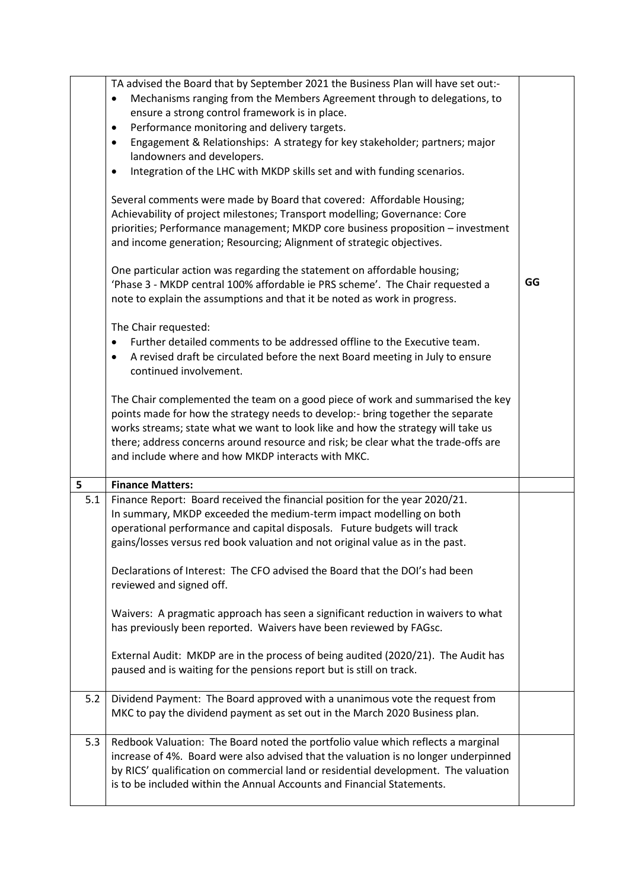| 5   | TA advised the Board that by September 2021 the Business Plan will have set out:-<br>Mechanisms ranging from the Members Agreement through to delegations, to<br>ensure a strong control framework is in place.<br>Performance monitoring and delivery targets.<br>$\bullet$<br>Engagement & Relationships: A strategy for key stakeholder; partners; major<br>$\bullet$<br>landowners and developers.<br>Integration of the LHC with MKDP skills set and with funding scenarios.<br>$\bullet$<br>Several comments were made by Board that covered: Affordable Housing;<br>Achievability of project milestones; Transport modelling; Governance: Core<br>priorities; Performance management; MKDP core business proposition - investment<br>and income generation; Resourcing; Alignment of strategic objectives.<br>One particular action was regarding the statement on affordable housing;<br>'Phase 3 - MKDP central 100% affordable ie PRS scheme'. The Chair requested a<br>note to explain the assumptions and that it be noted as work in progress.<br>The Chair requested:<br>Further detailed comments to be addressed offline to the Executive team.<br>A revised draft be circulated before the next Board meeting in July to ensure<br>continued involvement.<br>The Chair complemented the team on a good piece of work and summarised the key<br>points made for how the strategy needs to develop:- bring together the separate<br>works streams; state what we want to look like and how the strategy will take us<br>there; address concerns around resource and risk; be clear what the trade-offs are<br>and include where and how MKDP interacts with MKC. | GG |
|-----|---------------------------------------------------------------------------------------------------------------------------------------------------------------------------------------------------------------------------------------------------------------------------------------------------------------------------------------------------------------------------------------------------------------------------------------------------------------------------------------------------------------------------------------------------------------------------------------------------------------------------------------------------------------------------------------------------------------------------------------------------------------------------------------------------------------------------------------------------------------------------------------------------------------------------------------------------------------------------------------------------------------------------------------------------------------------------------------------------------------------------------------------------------------------------------------------------------------------------------------------------------------------------------------------------------------------------------------------------------------------------------------------------------------------------------------------------------------------------------------------------------------------------------------------------------------------------------------------------------------------------------------------------------------------------------|----|
| 5.1 | <b>Finance Matters:</b><br>Finance Report: Board received the financial position for the year 2020/21.<br>In summary, MKDP exceeded the medium-term impact modelling on both<br>operational performance and capital disposals. Future budgets will track<br>gains/losses versus red book valuation and not original value as in the past.<br>Declarations of Interest: The CFO advised the Board that the DOI's had been<br>reviewed and signed off.<br>Waivers: A pragmatic approach has seen a significant reduction in waivers to what<br>has previously been reported. Waivers have been reviewed by FAGsc.<br>External Audit: MKDP are in the process of being audited (2020/21). The Audit has<br>paused and is waiting for the pensions report but is still on track.                                                                                                                                                                                                                                                                                                                                                                                                                                                                                                                                                                                                                                                                                                                                                                                                                                                                                                    |    |
| 5.2 | Dividend Payment: The Board approved with a unanimous vote the request from<br>MKC to pay the dividend payment as set out in the March 2020 Business plan.                                                                                                                                                                                                                                                                                                                                                                                                                                                                                                                                                                                                                                                                                                                                                                                                                                                                                                                                                                                                                                                                                                                                                                                                                                                                                                                                                                                                                                                                                                                      |    |
| 5.3 | Redbook Valuation: The Board noted the portfolio value which reflects a marginal<br>increase of 4%. Board were also advised that the valuation is no longer underpinned<br>by RICS' qualification on commercial land or residential development. The valuation<br>is to be included within the Annual Accounts and Financial Statements.                                                                                                                                                                                                                                                                                                                                                                                                                                                                                                                                                                                                                                                                                                                                                                                                                                                                                                                                                                                                                                                                                                                                                                                                                                                                                                                                        |    |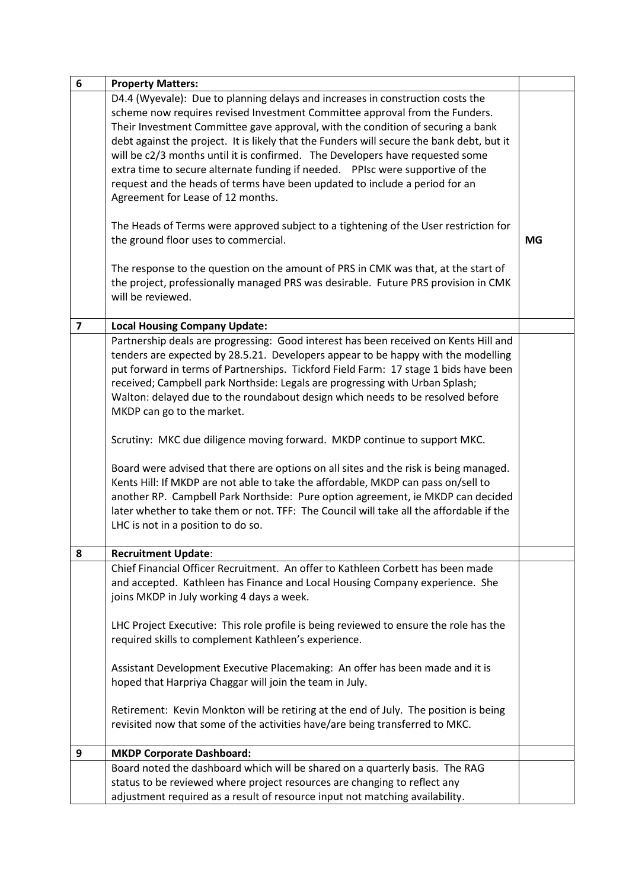| 6                       | <b>Property Matters:</b>                                                                                                                                                                                                                                                                                                                                                                                                                                                                                                                                                                                                                                                                                                                                                                                                                                                                                                                                               |           |
|-------------------------|------------------------------------------------------------------------------------------------------------------------------------------------------------------------------------------------------------------------------------------------------------------------------------------------------------------------------------------------------------------------------------------------------------------------------------------------------------------------------------------------------------------------------------------------------------------------------------------------------------------------------------------------------------------------------------------------------------------------------------------------------------------------------------------------------------------------------------------------------------------------------------------------------------------------------------------------------------------------|-----------|
|                         | D4.4 (Wyevale): Due to planning delays and increases in construction costs the<br>scheme now requires revised Investment Committee approval from the Funders.<br>Their Investment Committee gave approval, with the condition of securing a bank<br>debt against the project. It is likely that the Funders will secure the bank debt, but it<br>will be c2/3 months until it is confirmed. The Developers have requested some<br>extra time to secure alternate funding if needed.  PPIsc were supportive of the<br>request and the heads of terms have been updated to include a period for an<br>Agreement for Lease of 12 months.<br>The Heads of Terms were approved subject to a tightening of the User restriction for<br>the ground floor uses to commercial.<br>The response to the question on the amount of PRS in CMK was that, at the start of<br>the project, professionally managed PRS was desirable. Future PRS provision in CMK<br>will be reviewed. | <b>MG</b> |
|                         |                                                                                                                                                                                                                                                                                                                                                                                                                                                                                                                                                                                                                                                                                                                                                                                                                                                                                                                                                                        |           |
| $\overline{\mathbf{z}}$ | <b>Local Housing Company Update:</b>                                                                                                                                                                                                                                                                                                                                                                                                                                                                                                                                                                                                                                                                                                                                                                                                                                                                                                                                   |           |
|                         | Partnership deals are progressing: Good interest has been received on Kents Hill and<br>tenders are expected by 28.5.21. Developers appear to be happy with the modelling<br>put forward in terms of Partnerships. Tickford Field Farm: 17 stage 1 bids have been<br>received; Campbell park Northside: Legals are progressing with Urban Splash;<br>Walton: delayed due to the roundabout design which needs to be resolved before<br>MKDP can go to the market.                                                                                                                                                                                                                                                                                                                                                                                                                                                                                                      |           |
|                         | Scrutiny: MKC due diligence moving forward. MKDP continue to support MKC.                                                                                                                                                                                                                                                                                                                                                                                                                                                                                                                                                                                                                                                                                                                                                                                                                                                                                              |           |
|                         | Board were advised that there are options on all sites and the risk is being managed.<br>Kents Hill: If MKDP are not able to take the affordable, MKDP can pass on/sell to<br>another RP. Campbell Park Northside: Pure option agreement, ie MKDP can decided<br>later whether to take them or not. TFF: The Council will take all the affordable if the<br>LHC is not in a position to do so.                                                                                                                                                                                                                                                                                                                                                                                                                                                                                                                                                                         |           |
| 8                       | <b>Recruitment Update:</b>                                                                                                                                                                                                                                                                                                                                                                                                                                                                                                                                                                                                                                                                                                                                                                                                                                                                                                                                             |           |
|                         | Chief Financial Officer Recruitment. An offer to Kathleen Corbett has been made<br>and accepted. Kathleen has Finance and Local Housing Company experience. She<br>joins MKDP in July working 4 days a week.<br>LHC Project Executive: This role profile is being reviewed to ensure the role has the<br>required skills to complement Kathleen's experience.<br>Assistant Development Executive Placemaking: An offer has been made and it is<br>hoped that Harpriya Chaggar will join the team in July.<br>Retirement: Kevin Monkton will be retiring at the end of July. The position is being<br>revisited now that some of the activities have/are being transferred to MKC.                                                                                                                                                                                                                                                                                      |           |
| 9                       | <b>MKDP Corporate Dashboard:</b>                                                                                                                                                                                                                                                                                                                                                                                                                                                                                                                                                                                                                                                                                                                                                                                                                                                                                                                                       |           |
|                         | Board noted the dashboard which will be shared on a quarterly basis. The RAG                                                                                                                                                                                                                                                                                                                                                                                                                                                                                                                                                                                                                                                                                                                                                                                                                                                                                           |           |
|                         | status to be reviewed where project resources are changing to reflect any<br>adjustment required as a result of resource input not matching availability.                                                                                                                                                                                                                                                                                                                                                                                                                                                                                                                                                                                                                                                                                                                                                                                                              |           |